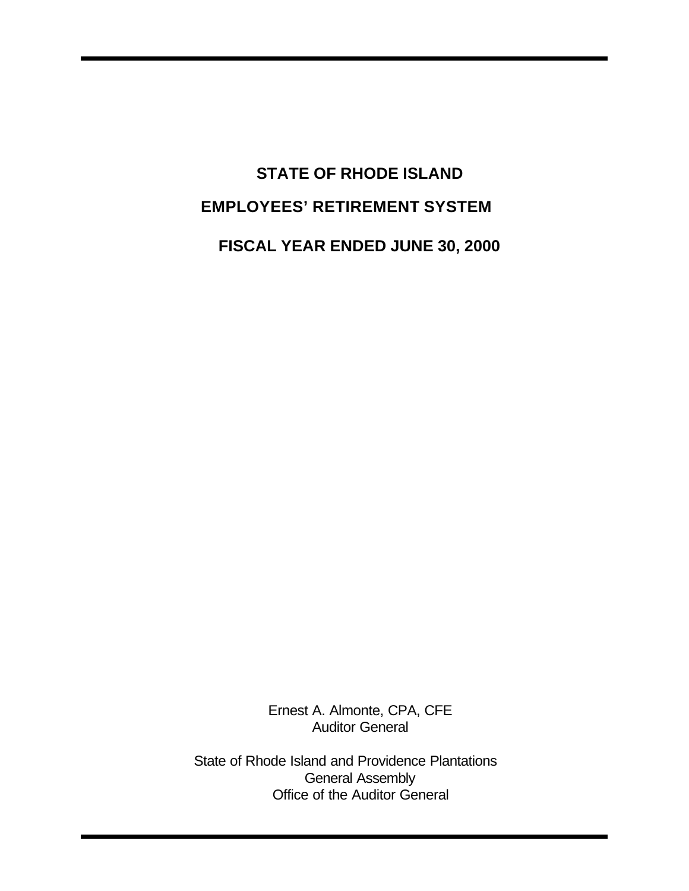# **STATE OF RHODE ISLAND EMPLOYEES' RETIREMENT SYSTEM FISCAL YEAR ENDED JUNE 30, 2000**

Ernest A. Almonte, CPA, CFE Auditor General

State of Rhode Island and Providence Plantations General Assembly Office of the Auditor General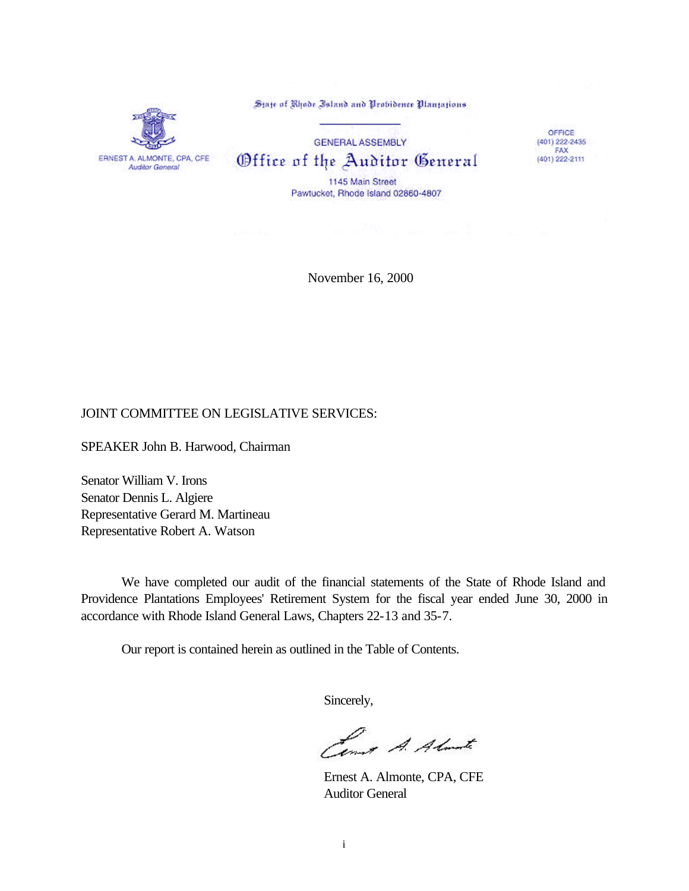State of Rhode Island and Probidence Plantations



**GENERAL ASSEMBLY** Office of the Auditor General 1145 Main Street Pawtucket, Rhode Island 02860-4807

OFFICE  $(401)$  222-2435 FAX (401) 222-2111

November 16, 2000

#### JOINT COMMITTEE ON LEGISLATIVE SERVICES:

SPEAKER John B. Harwood, Chairman

Senator William V. Irons Senator Dennis L. Algiere Representative Gerard M. Martineau Representative Robert A. Watson

We have completed our audit of the financial statements of the State of Rhode Island and Providence Plantations Employees' Retirement System for the fiscal year ended June 30, 2000 in accordance with Rhode Island General Laws, Chapters 22-13 and 35-7.

Our report is contained herein as outlined in the Table of Contents.

Sincerely,

Lena A. Almate

Ernest A. Almonte, CPA, CFE Auditor General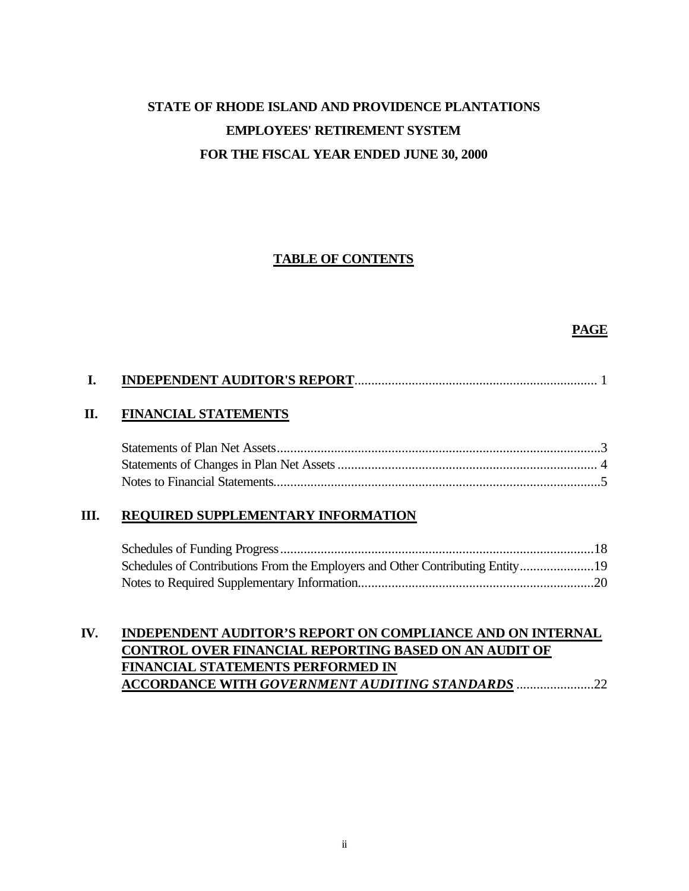# **STATE OF RHODE ISLAND AND PROVIDENCE PLANTATIONS EMPLOYEES' RETIREMENT SYSTEM FOR THE FISCAL YEAR ENDED JUNE 30, 2000**

### **TABLE OF CONTENTS**

#### **PAGE**

#### **II. FINANCIAL STATEMENTS**

#### **III. REQUIRED SUPPLEMENTARY INFORMATION**

| Schedules of Contributions From the Employers and Other Contributing Entity19 |  |
|-------------------------------------------------------------------------------|--|
|                                                                               |  |

### **IV. INDEPENDENT AUDITOR'S REPORT ON COMPLIANCE AND ON INTERNAL CONTROL OVER FINANCIAL REPORTING BASED ON AN AUDIT OF FINANCIAL STATEMENTS PERFORMED IN ACCORDANCE WITH** *GOVERNMENT AUDITING STANDARDS* .......................22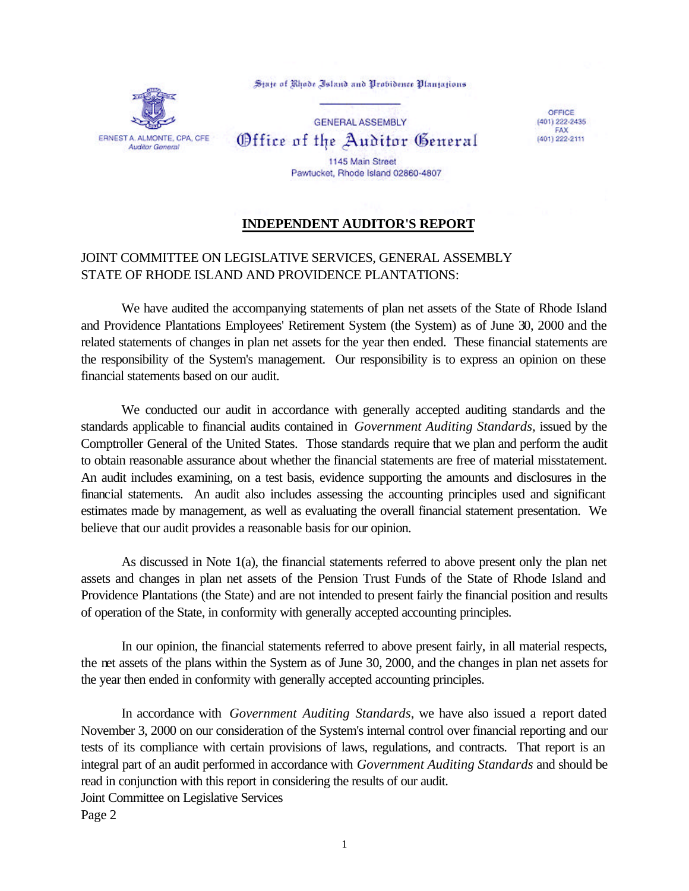State of Rhode Island and Probidence Plantations



**GENERAL ASSEMBLY** Office of the Auditor General 1145 Main Street Pawtucket, Rhode Island 02860-4807

OFFICE (401) 222-2435 FAX (401) 222-2111

**INDEPENDENT AUDITOR'S REPORT**

### JOINT COMMITTEE ON LEGISLATIVE SERVICES, GENERAL ASSEMBLY STATE OF RHODE ISLAND AND PROVIDENCE PLANTATIONS:

We have audited the accompanying statements of plan net assets of the State of Rhode Island and Providence Plantations Employees' Retirement System (the System) as of June 30, 2000 and the related statements of changes in plan net assets for the year then ended. These financial statements are the responsibility of the System's management. Our responsibility is to express an opinion on these financial statements based on our audit.

We conducted our audit in accordance with generally accepted auditing standards and the standards applicable to financial audits contained in *Government Auditing Standards,* issued by the Comptroller General of the United States. Those standards require that we plan and perform the audit to obtain reasonable assurance about whether the financial statements are free of material misstatement. An audit includes examining, on a test basis, evidence supporting the amounts and disclosures in the financial statements. An audit also includes assessing the accounting principles used and significant estimates made by management, as well as evaluating the overall financial statement presentation. We believe that our audit provides a reasonable basis for our opinion.

As discussed in Note 1(a), the financial statements referred to above present only the plan net assets and changes in plan net assets of the Pension Trust Funds of the State of Rhode Island and Providence Plantations (the State) and are not intended to present fairly the financial position and results of operation of the State, in conformity with generally accepted accounting principles.

In our opinion, the financial statements referred to above present fairly, in all material respects, the net assets of the plans within the System as of June 30, 2000, and the changes in plan net assets for the year then ended in conformity with generally accepted accounting principles.

In accordance with *Government Auditing Standards*, we have also issued a report dated November 3, 2000 on our consideration of the System's internal control over financial reporting and our tests of its compliance with certain provisions of laws, regulations, and contracts. That report is an integral part of an audit performed in accordance with *Government Auditing Standards* and should be read in conjunction with this report in considering the results of our audit. Joint Committee on Legislative Services Page 2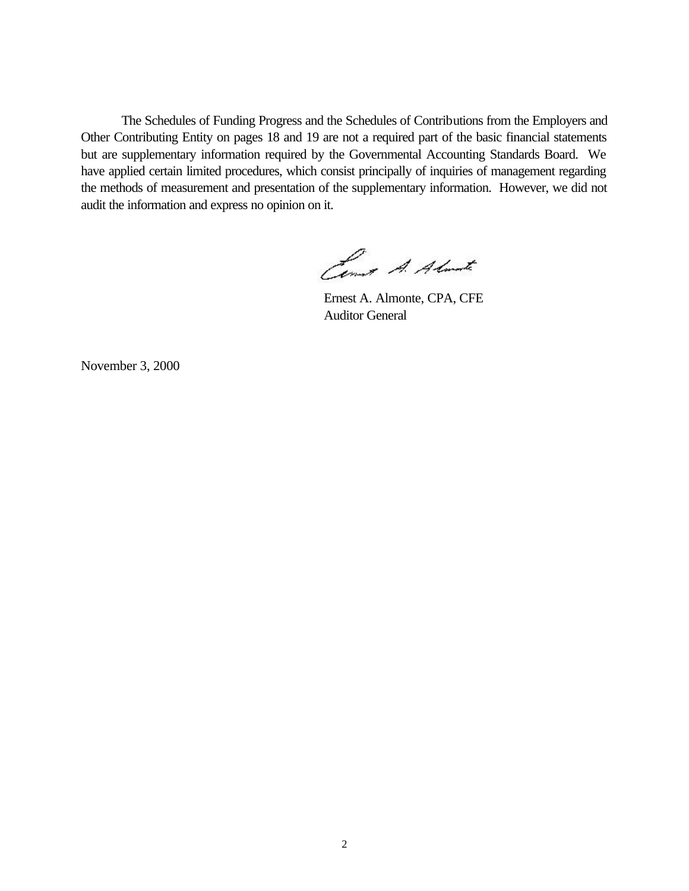The Schedules of Funding Progress and the Schedules of Contributions from the Employers and Other Contributing Entity on pages 18 and 19 are not a required part of the basic financial statements but are supplementary information required by the Governmental Accounting Standards Board. We have applied certain limited procedures, which consist principally of inquiries of management regarding the methods of measurement and presentation of the supplementary information. However, we did not audit the information and express no opinion on it.

Comet A. Almante

 Ernest A. Almonte, CPA, CFE Auditor General

November 3, 2000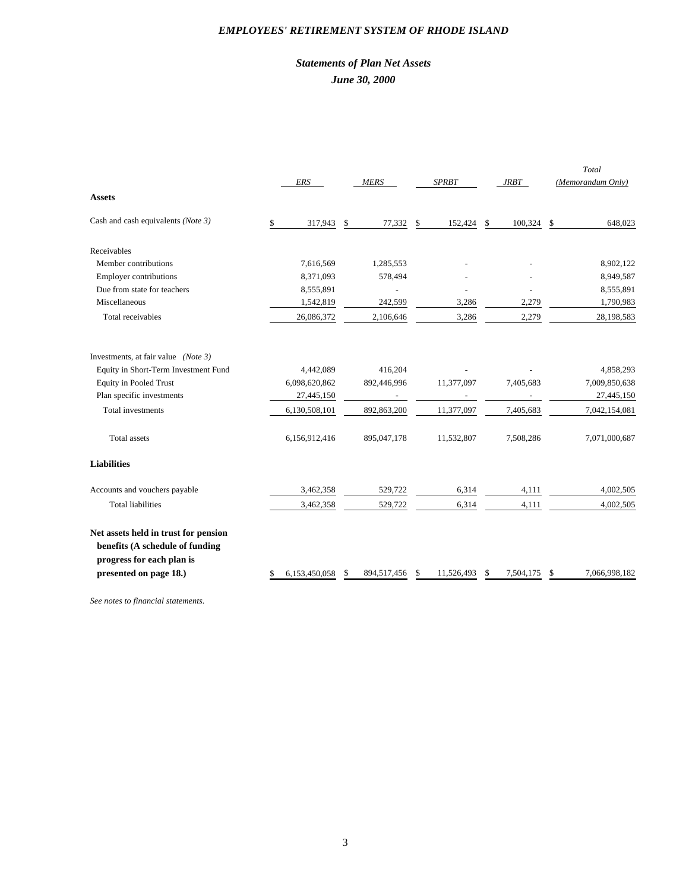#### *EMPLOYEES' RETIREMENT SYSTEM OF RHODE ISLAND*

### *Statements of Plan Net Assets June 30, 2000*

|                                                                                                                                | ERS                 | <b>MERS</b>       | <b>SPRBT</b>     | <b>JRBT</b>     | Total<br>(Memorandum Only) |
|--------------------------------------------------------------------------------------------------------------------------------|---------------------|-------------------|------------------|-----------------|----------------------------|
| <b>Assets</b>                                                                                                                  |                     |                   |                  |                 |                            |
| Cash and cash equivalents (Note 3)                                                                                             | \$<br>317,943       | \$<br>77,332      | \$<br>152,424    | \$<br>100,324   | \$<br>648,023              |
| Receivables                                                                                                                    |                     |                   |                  |                 |                            |
| Member contributions                                                                                                           | 7,616,569           | 1,285,553         |                  |                 | 8,902,122                  |
| <b>Employer contributions</b>                                                                                                  | 8,371,093           | 578,494           |                  |                 | 8,949,587                  |
| Due from state for teachers                                                                                                    | 8,555,891           |                   |                  |                 | 8,555,891                  |
| Miscellaneous                                                                                                                  | 1,542,819           | 242,599           | 3,286            | 2,279           | 1,790,983                  |
| Total receivables                                                                                                              | 26,086,372          | 2,106,646         | 3,286            | 2,279           | 28,198,583                 |
| Investments, at fair value (Note 3)                                                                                            |                     |                   |                  |                 |                            |
| Equity in Short-Term Investment Fund                                                                                           | 4,442,089           | 416,204           |                  |                 | 4,858,293                  |
| <b>Equity in Pooled Trust</b>                                                                                                  | 6,098,620,862       | 892,446,996       | 11,377,097       | 7,405,683       | 7,009,850,638              |
| Plan specific investments                                                                                                      | 27,445,150          |                   |                  |                 | 27,445,150                 |
| <b>Total investments</b>                                                                                                       | 6,130,508,101       | 892,863,200       | 11,377,097       | 7,405,683       | 7,042,154,081              |
| Total assets                                                                                                                   | 6,156,912,416       | 895,047,178       | 11,532,807       | 7,508,286       | 7,071,000,687              |
| <b>Liabilities</b>                                                                                                             |                     |                   |                  |                 |                            |
| Accounts and vouchers payable                                                                                                  | 3,462,358           | 529,722           | 6,314            | 4,111           | 4,002,505                  |
| <b>Total liabilities</b>                                                                                                       | 3,462,358           | 529,722           | 6,314            | 4,111           | 4,002,505                  |
| Net assets held in trust for pension<br>benefits (A schedule of funding<br>progress for each plan is<br>presented on page 18.) | \$<br>6,153,450,058 | \$<br>894,517,456 | \$<br>11,526,493 | \$<br>7,504,175 | \$<br>7,066,998,182        |
|                                                                                                                                |                     |                   |                  |                 |                            |

*See notes to financial statements.*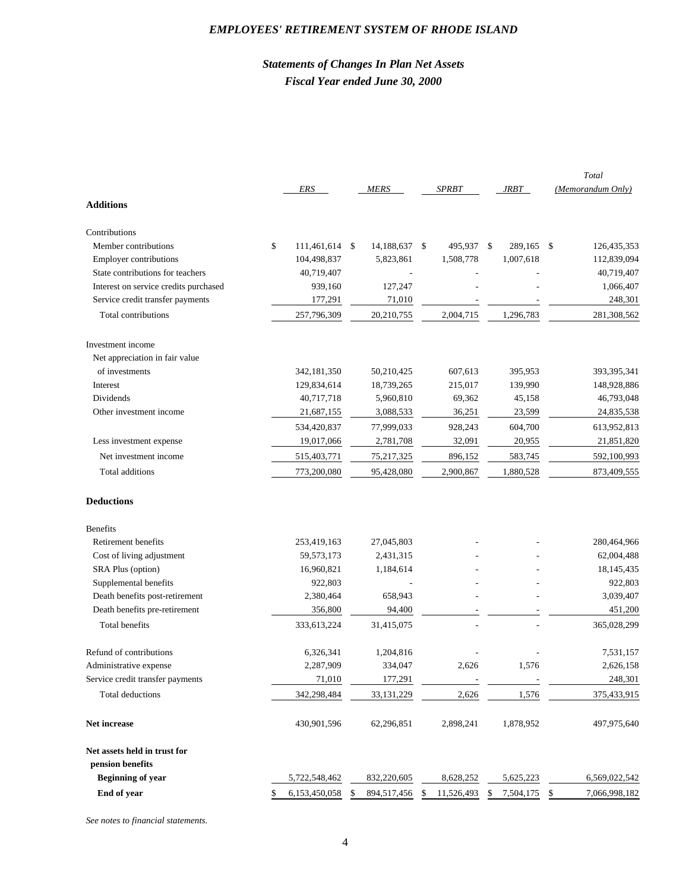#### *EMPLOYEES' RETIREMENT SYSTEM OF RHODE ISLAND*

### *Statements of Changes In Plan Net Assets Fiscal Year ended June 30, 2000*

|                                       | ERS                 |    | <b>MERS</b> |      | <b>SPRBT</b> | <b>JRBT</b>     | Total<br>(Memorandum Only) |
|---------------------------------------|---------------------|----|-------------|------|--------------|-----------------|----------------------------|
| <b>Additions</b>                      |                     |    |             |      |              |                 |                            |
| Contributions                         |                     |    |             |      |              |                 |                            |
| Member contributions                  | \$<br>111,461,614   | \$ | 14,188,637  | - \$ | 495,937 \$   | 289,165 \$      | 126,435,353                |
| <b>Employer contributions</b>         | 104,498,837         |    | 5,823,861   |      | 1,508,778    | 1,007,618       | 112,839,094                |
| State contributions for teachers      | 40,719,407          |    |             |      |              |                 | 40,719,407                 |
| Interest on service credits purchased | 939,160             |    | 127,247     |      |              |                 | 1,066,407                  |
| Service credit transfer payments      | 177,291             |    | 71,010      |      |              |                 | 248,301                    |
| Total contributions                   | 257,796,309         |    | 20,210,755  |      | 2,004,715    | 1,296,783       | 281,308,562                |
| Investment income                     |                     |    |             |      |              |                 |                            |
| Net appreciation in fair value        |                     |    |             |      |              |                 |                            |
| of investments                        | 342,181,350         |    | 50,210,425  |      | 607,613      | 395,953         | 393,395,341                |
| Interest                              | 129,834,614         |    | 18,739,265  |      | 215,017      | 139,990         | 148,928,886                |
| Dividends                             | 40,717,718          |    | 5,960,810   |      | 69,362       | 45,158          | 46,793,048                 |
| Other investment income               | 21,687,155          |    | 3,088,533   |      | 36,251       | 23,599          | 24,835,538                 |
|                                       | 534,420,837         |    | 77,999,033  |      | 928,243      | 604,700         | 613,952,813                |
| Less investment expense               | 19,017,066          |    | 2,781,708   |      | 32,091       | 20,955          | 21,851,820                 |
| Net investment income                 | 515,403,771         |    | 75,217,325  |      | 896,152      | 583,745         | 592,100,993                |
| Total additions                       | 773,200,080         |    | 95,428,080  |      | 2,900,867    | 1,880,528       | 873,409,555                |
| <b>Deductions</b>                     |                     |    |             |      |              |                 |                            |
| <b>Benefits</b>                       |                     |    |             |      |              |                 |                            |
| Retirement benefits                   | 253,419,163         |    | 27,045,803  |      |              |                 | 280,464,966                |
| Cost of living adjustment             | 59,573,173          |    | 2,431,315   |      |              |                 | 62,004,488                 |
| <b>SRA Plus (option)</b>              | 16,960,821          |    | 1,184,614   |      |              |                 | 18,145,435                 |
| Supplemental benefits                 | 922,803             |    |             |      |              |                 | 922,803                    |
| Death benefits post-retirement        | 2,380,464           |    | 658,943     |      |              |                 | 3,039,407                  |
| Death benefits pre-retirement         | 356,800             |    | 94,400      |      |              |                 | 451,200                    |
| Total benefits                        | 333,613,224         |    | 31,415,075  |      |              |                 | 365,028,299                |
| Refund of contributions               | 6,326,341           |    | 1,204,816   |      |              |                 | 7,531,157                  |
| Administrative expense                | 2,287,909           |    | 334,047     |      | 2,626        | 1,576           | 2,626,158                  |
| Service credit transfer payments      | 71,010              |    | 177,291     |      |              |                 | 248,301                    |
| Total deductions                      | 342,298,484         |    | 33,131,229  |      | 2,626        | 1,576           | 375,433,915                |
| Net increase                          | 430,901,596         |    | 62,296,851  |      | 2,898,241    | 1,878,952       | 497,975,640                |
| Net assets held in trust for          |                     |    |             |      |              |                 |                            |
| pension benefits                      |                     |    |             |      |              |                 |                            |
| <b>Beginning of year</b>              | 5,722,548,462       |    | 832,220,605 |      | 8,628,252    | 5,625,223       | 6,569,022,542              |
| End of year                           | \$<br>6,153,450,058 | S, | 894,517,456 | S    | 11,526,493   | \$<br>7,504,175 | \$<br>7,066,998,182        |

*See notes to financial statements.*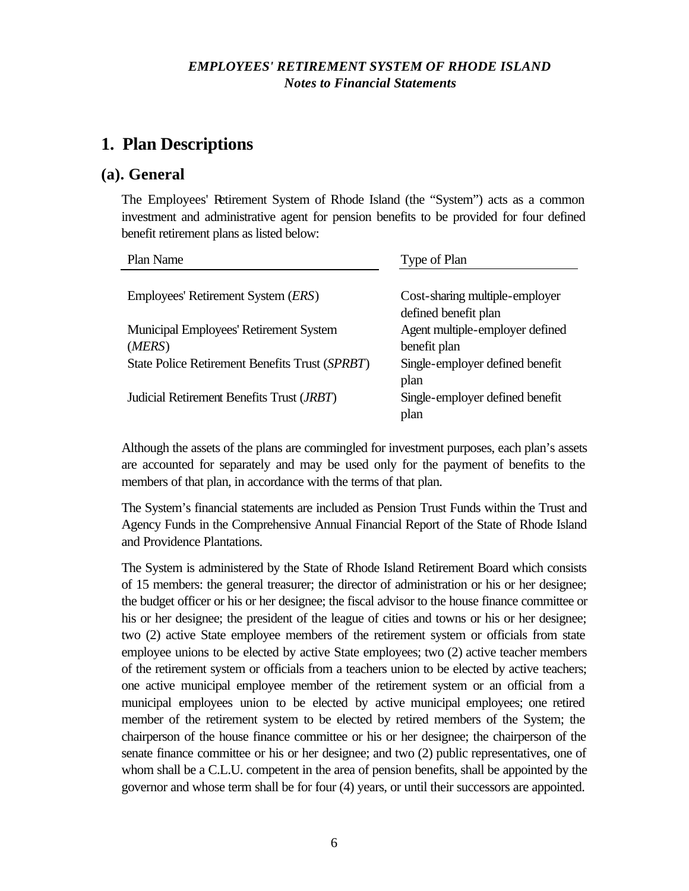# **1. Plan Descriptions**

#### **(a). General**

The Employees' Retirement System of Rhode Island (the "System") acts as a common investment and administrative agent for pension benefits to be provided for four defined benefit retirement plans as listed below:

| Plan Name                                          | Type of Plan                    |
|----------------------------------------------------|---------------------------------|
|                                                    |                                 |
| Employees' Retirement System ( <i>ERS</i> )        | Cost-sharing multiple-employer  |
|                                                    | defined benefit plan            |
| Municipal Employees' Retirement System             | Agent multiple-employer defined |
| (MERS)                                             | benefit plan                    |
| State Police Retirement Benefits Trust (SPRBT)     | Single-employer defined benefit |
|                                                    | plan                            |
| Judicial Retirement Benefits Trust ( <i>JRBT</i> ) | Single-employer defined benefit |
|                                                    | plan                            |

Although the assets of the plans are commingled for investment purposes, each plan's assets are accounted for separately and may be used only for the payment of benefits to the members of that plan, in accordance with the terms of that plan.

The System's financial statements are included as Pension Trust Funds within the Trust and Agency Funds in the Comprehensive Annual Financial Report of the State of Rhode Island and Providence Plantations.

The System is administered by the State of Rhode Island Retirement Board which consists of 15 members: the general treasurer; the director of administration or his or her designee; the budget officer or his or her designee; the fiscal advisor to the house finance committee or his or her designee; the president of the league of cities and towns or his or her designee; two (2) active State employee members of the retirement system or officials from state employee unions to be elected by active State employees; two (2) active teacher members of the retirement system or officials from a teachers union to be elected by active teachers; one active municipal employee member of the retirement system or an official from a municipal employees union to be elected by active municipal employees; one retired member of the retirement system to be elected by retired members of the System; the chairperson of the house finance committee or his or her designee; the chairperson of the senate finance committee or his or her designee; and two (2) public representatives, one of whom shall be a C.L.U. competent in the area of pension benefits, shall be appointed by the governor and whose term shall be for four (4) years, or until their successors are appointed.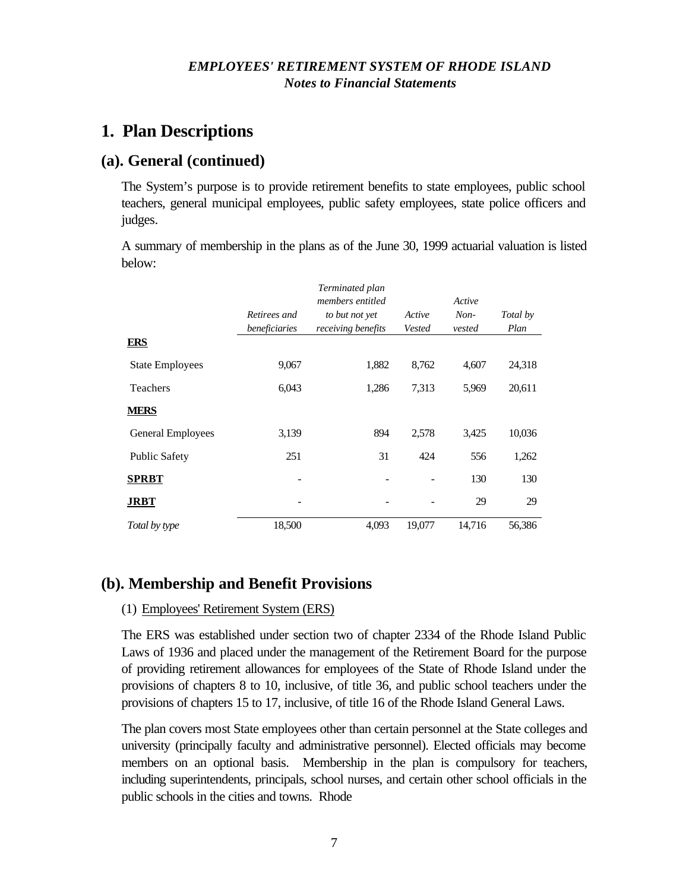# **1. Plan Descriptions**

### **(a). General (continued)**

The System's purpose is to provide retirement benefits to state employees, public school teachers, general municipal employees, public safety employees, state police officers and judges.

A summary of membership in the plans as of the June 30, 1999 actuarial valuation is listed below:

|                        |                               | Terminated plan<br>members entitled  |                  | Active           |                  |
|------------------------|-------------------------------|--------------------------------------|------------------|------------------|------------------|
|                        | Retirees and<br>beneficiaries | to but not yet<br>receiving benefits | Active<br>Vested | $Non-$<br>vested | Total by<br>Plan |
| <b>ERS</b>             |                               |                                      |                  |                  |                  |
| <b>State Employees</b> | 9,067                         | 1,882                                | 8,762            | 4,607            | 24,318           |
| Teachers               | 6,043                         | 1,286                                | 7,313            | 5,969            | 20,611           |
| <b>MERS</b>            |                               |                                      |                  |                  |                  |
| General Employees      | 3,139                         | 894                                  | 2,578            | 3,425            | 10,036           |
| <b>Public Safety</b>   | 251                           | 31                                   | 424              | 556              | 1,262            |
| <b>SPRBT</b>           |                               |                                      |                  | 130              | 130              |
| <b>JRBT</b>            | ۰                             |                                      |                  | 29               | 29               |
| Total by type          | 18,500                        | 4,093                                | 19,077           | 14,716           | 56,386           |

# **(b). Membership and Benefit Provisions**

#### (1) Employees' Retirement System (ERS)

The ERS was established under section two of chapter 2334 of the Rhode Island Public Laws of 1936 and placed under the management of the Retirement Board for the purpose of providing retirement allowances for employees of the State of Rhode Island under the provisions of chapters 8 to 10, inclusive, of title 36, and public school teachers under the provisions of chapters 15 to 17, inclusive, of title 16 of the Rhode Island General Laws.

The plan covers most State employees other than certain personnel at the State colleges and university (principally faculty and administrative personnel). Elected officials may become members on an optional basis. Membership in the plan is compulsory for teachers, including superintendents, principals, school nurses, and certain other school officials in the public schools in the cities and towns. Rhode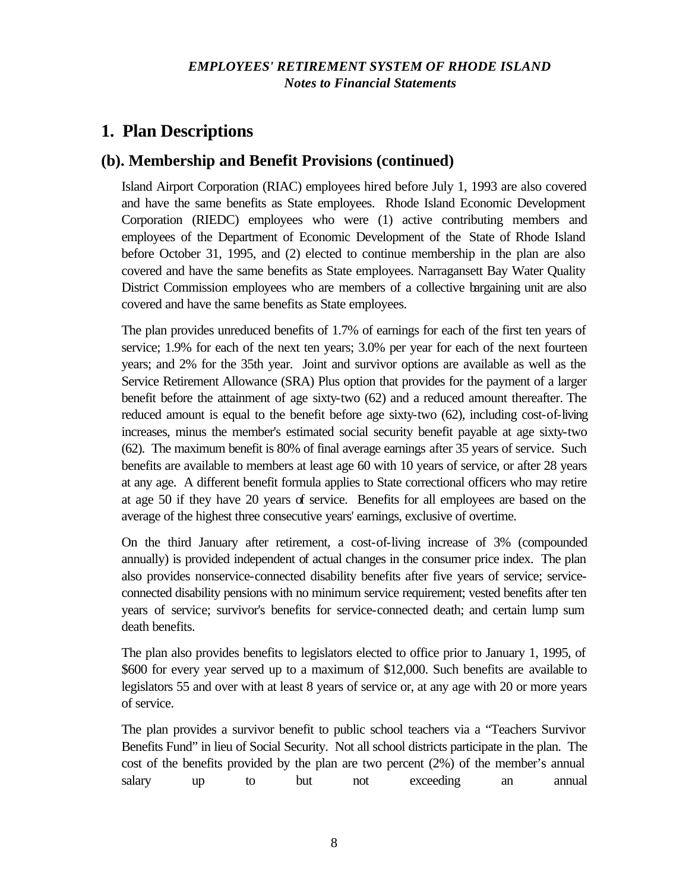# **1. Plan Descriptions**

## **(b). Membership and Benefit Provisions (continued)**

Island Airport Corporation (RIAC) employees hired before July 1, 1993 are also covered and have the same benefits as State employees. Rhode Island Economic Development Corporation (RIEDC) employees who were (1) active contributing members and employees of the Department of Economic Development of the State of Rhode Island before October 31, 1995, and (2) elected to continue membership in the plan are also covered and have the same benefits as State employees. Narragansett Bay Water Quality District Commission employees who are members of a collective bargaining unit are also covered and have the same benefits as State employees.

The plan provides unreduced benefits of 1.7% of earnings for each of the first ten years of service; 1.9% for each of the next ten years; 3.0% per year for each of the next fourteen years; and 2% for the 35th year. Joint and survivor options are available as well as the Service Retirement Allowance (SRA) Plus option that provides for the payment of a larger benefit before the attainment of age sixty-two (62) and a reduced amount thereafter. The reduced amount is equal to the benefit before age sixty-two (62), including cost-of-living increases, minus the member's estimated social security benefit payable at age sixty-two (62). The maximum benefit is 80% of final average earnings after 35 years of service. Such benefits are available to members at least age 60 with 10 years of service, or after 28 years at any age. A different benefit formula applies to State correctional officers who may retire at age 50 if they have 20 years of service. Benefits for all employees are based on the average of the highest three consecutive years' earnings, exclusive of overtime.

On the third January after retirement, a cost-of-living increase of 3% (compounded annually) is provided independent of actual changes in the consumer price index. The plan also provides nonservice-connected disability benefits after five years of service; serviceconnected disability pensions with no minimum service requirement; vested benefits after ten years of service; survivor's benefits for service-connected death; and certain lump sum death benefits.

The plan also provides benefits to legislators elected to office prior to January 1, 1995, of \$600 for every year served up to a maximum of \$12,000. Such benefits are available to legislators 55 and over with at least 8 years of service or, at any age with 20 or more years of service.

The plan provides a survivor benefit to public school teachers via a "Teachers Survivor Benefits Fund" in lieu of Social Security. Not all school districts participate in the plan. The cost of the benefits provided by the plan are two percent (2%) of the member's annual salary up to but not exceeding an annual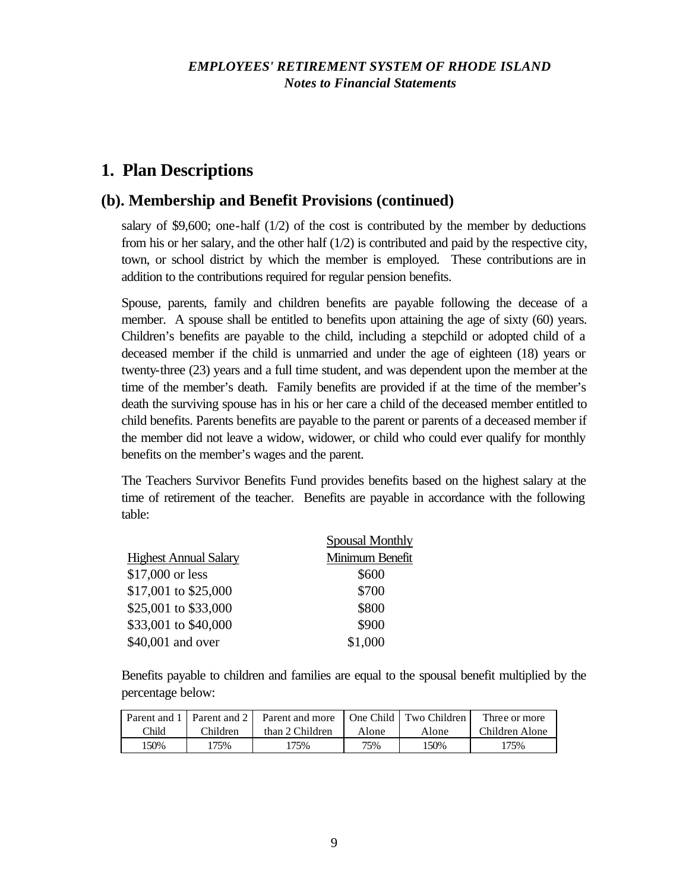# **1. Plan Descriptions**

## **(b). Membership and Benefit Provisions (continued)**

salary of \$9,600; one-half  $(1/2)$  of the cost is contributed by the member by deductions from his or her salary, and the other half (1/2) is contributed and paid by the respective city, town, or school district by which the member is employed. These contributions are in addition to the contributions required for regular pension benefits.

Spouse, parents, family and children benefits are payable following the decease of a member. A spouse shall be entitled to benefits upon attaining the age of sixty (60) years. Children's benefits are payable to the child, including a stepchild or adopted child of a deceased member if the child is unmarried and under the age of eighteen (18) years or twenty-three (23) years and a full time student, and was dependent upon the member at the time of the member's death. Family benefits are provided if at the time of the member's death the surviving spouse has in his or her care a child of the deceased member entitled to child benefits. Parents benefits are payable to the parent or parents of a deceased member if the member did not leave a widow, widower, or child who could ever qualify for monthly benefits on the member's wages and the parent.

The Teachers Survivor Benefits Fund provides benefits based on the highest salary at the time of retirement of the teacher. Benefits are payable in accordance with the following table:

|                              | <b>Spousal Monthly</b> |
|------------------------------|------------------------|
| <b>Highest Annual Salary</b> | Minimum Benefit        |
| \$17,000 or less             | \$600                  |
| \$17,001 to \$25,000         | \$700                  |
| \$25,001 to \$33,000         | \$800                  |
| \$33,001 to \$40,000         | \$900                  |
| \$40,001 and over            | \$1,000                |

Benefits payable to children and families are equal to the spousal benefit multiplied by the percentage below:

|       |          | Parent and 1   Parent and 2   Parent and more |       | One Child   Two Children | Three or more  |
|-------|----------|-----------------------------------------------|-------|--------------------------|----------------|
| Child | Children | than 2 Children                               | Alone | Alone                    | Children Alone |
| 150%  | '75%     | 175%                                          | 75%   | 150%                     | 175%           |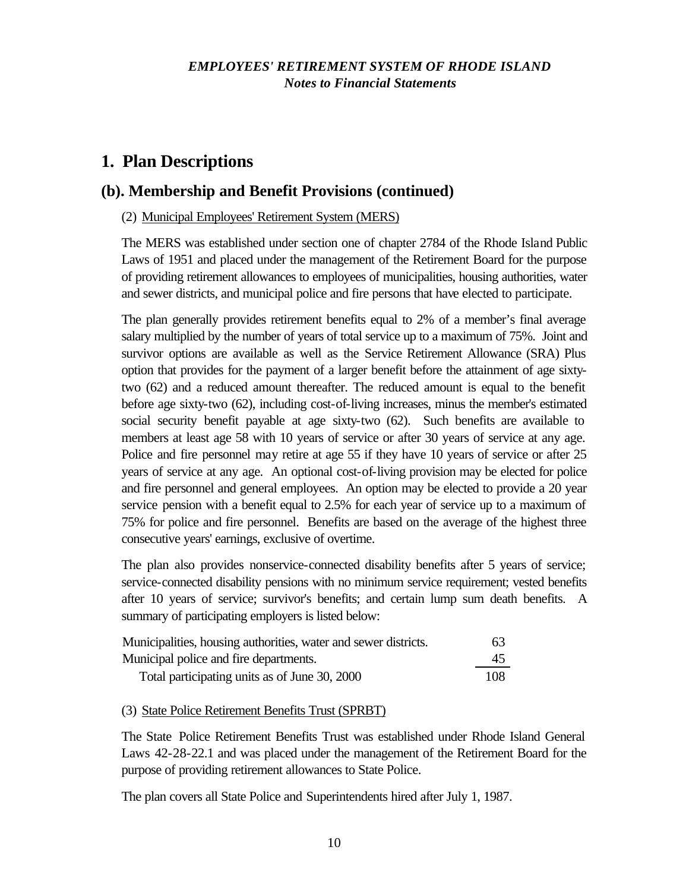# **1. Plan Descriptions**

### **(b). Membership and Benefit Provisions (continued)**

#### (2) Municipal Employees' Retirement System (MERS)

The MERS was established under section one of chapter 2784 of the Rhode Island Public Laws of 1951 and placed under the management of the Retirement Board for the purpose of providing retirement allowances to employees of municipalities, housing authorities, water and sewer districts, and municipal police and fire persons that have elected to participate.

The plan generally provides retirement benefits equal to 2% of a member's final average salary multiplied by the number of years of total service up to a maximum of 75%. Joint and survivor options are available as well as the Service Retirement Allowance (SRA) Plus option that provides for the payment of a larger benefit before the attainment of age sixtytwo (62) and a reduced amount thereafter. The reduced amount is equal to the benefit before age sixty-two (62), including cost-of-living increases, minus the member's estimated social security benefit payable at age sixty-two (62). Such benefits are available to members at least age 58 with 10 years of service or after 30 years of service at any age. Police and fire personnel may retire at age 55 if they have 10 years of service or after 25 years of service at any age. An optional cost-of-living provision may be elected for police and fire personnel and general employees. An option may be elected to provide a 20 year service pension with a benefit equal to 2.5% for each year of service up to a maximum of 75% for police and fire personnel. Benefits are based on the average of the highest three consecutive years' earnings, exclusive of overtime.

The plan also provides nonservice-connected disability benefits after 5 years of service; service-connected disability pensions with no minimum service requirement; vested benefits after 10 years of service; survivor's benefits; and certain lump sum death benefits. A summary of participating employers is listed below:

| Municipalities, housing authorities, water and sewer districts. | 63  |
|-----------------------------------------------------------------|-----|
| Municipal police and fire departments.                          | 45  |
| Total participating units as of June 30, 2000                   | 108 |

#### (3) State Police Retirement Benefits Trust (SPRBT)

The State Police Retirement Benefits Trust was established under Rhode Island General Laws 42-28-22.1 and was placed under the management of the Retirement Board for the purpose of providing retirement allowances to State Police.

The plan covers all State Police and Superintendents hired after July 1, 1987.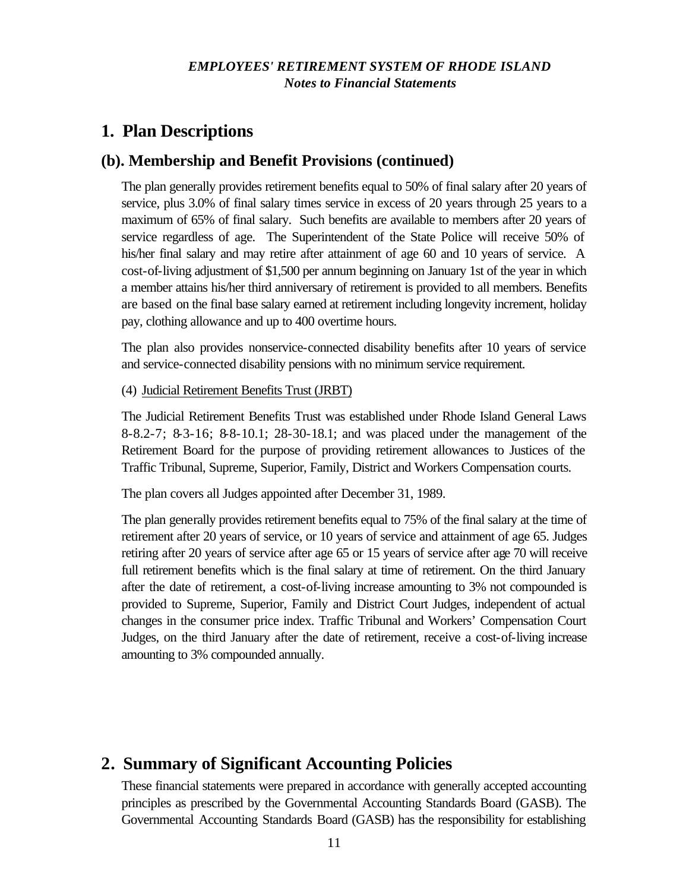# **1. Plan Descriptions**

### **(b). Membership and Benefit Provisions (continued)**

The plan generally provides retirement benefits equal to 50% of final salary after 20 years of service, plus 3.0% of final salary times service in excess of 20 years through 25 years to a maximum of 65% of final salary. Such benefits are available to members after 20 years of service regardless of age. The Superintendent of the State Police will receive 50% of his/her final salary and may retire after attainment of age 60 and 10 years of service. A cost-of-living adjustment of \$1,500 per annum beginning on January 1st of the year in which a member attains his/her third anniversary of retirement is provided to all members. Benefits are based on the final base salary earned at retirement including longevity increment, holiday pay, clothing allowance and up to 400 overtime hours.

The plan also provides nonservice-connected disability benefits after 10 years of service and service-connected disability pensions with no minimum service requirement.

(4) Judicial Retirement Benefits Trust (JRBT)

The Judicial Retirement Benefits Trust was established under Rhode Island General Laws 8-8.2-7; 8-3-16; 8-8-10.1; 28-30-18.1; and was placed under the management of the Retirement Board for the purpose of providing retirement allowances to Justices of the Traffic Tribunal, Supreme, Superior, Family, District and Workers Compensation courts.

The plan covers all Judges appointed after December 31, 1989.

The plan generally provides retirement benefits equal to 75% of the final salary at the time of retirement after 20 years of service, or 10 years of service and attainment of age 65. Judges retiring after 20 years of service after age 65 or 15 years of service after age 70 will receive full retirement benefits which is the final salary at time of retirement. On the third January after the date of retirement, a cost-of-living increase amounting to 3% not compounded is provided to Supreme, Superior, Family and District Court Judges, independent of actual changes in the consumer price index. Traffic Tribunal and Workers' Compensation Court Judges, on the third January after the date of retirement, receive a cost-of-living increase amounting to 3% compounded annually.

# **2. Summary of Significant Accounting Policies**

These financial statements were prepared in accordance with generally accepted accounting principles as prescribed by the Governmental Accounting Standards Board (GASB). The Governmental Accounting Standards Board (GASB) has the responsibility for establishing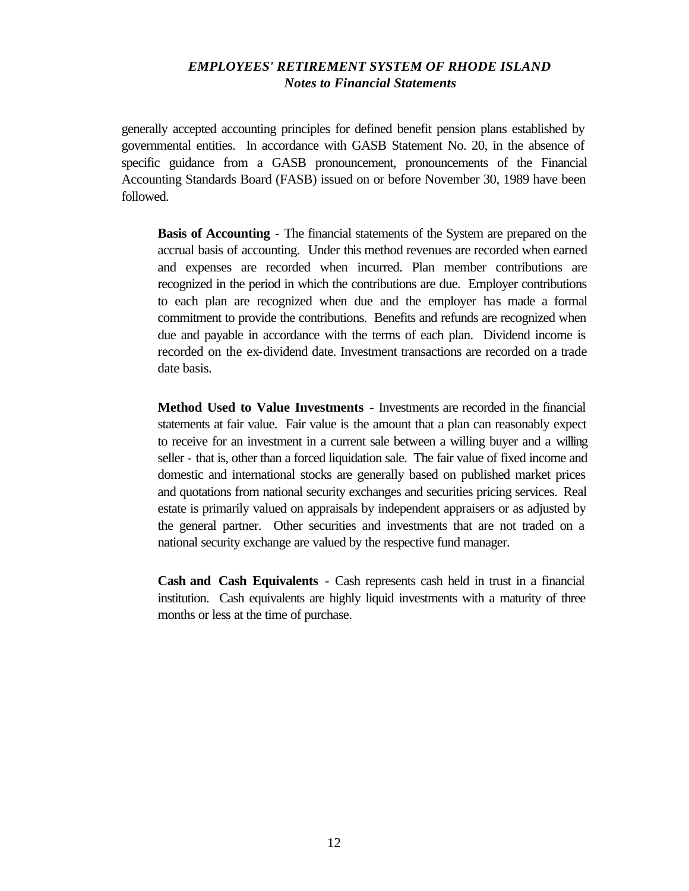generally accepted accounting principles for defined benefit pension plans established by governmental entities. In accordance with GASB Statement No. 20, in the absence of specific guidance from a GASB pronouncement, pronouncements of the Financial Accounting Standards Board (FASB) issued on or before November 30, 1989 have been followed.

**Basis of Accounting** - The financial statements of the System are prepared on the accrual basis of accounting. Under this method revenues are recorded when earned and expenses are recorded when incurred. Plan member contributions are recognized in the period in which the contributions are due. Employer contributions to each plan are recognized when due and the employer has made a formal commitment to provide the contributions. Benefits and refunds are recognized when due and payable in accordance with the terms of each plan. Dividend income is recorded on the ex-dividend date. Investment transactions are recorded on a trade date basis.

**Method Used to Value Investments** - Investments are recorded in the financial statements at fair value. Fair value is the amount that a plan can reasonably expect to receive for an investment in a current sale between a willing buyer and a willing seller - that is, other than a forced liquidation sale. The fair value of fixed income and domestic and international stocks are generally based on published market prices and quotations from national security exchanges and securities pricing services. Real estate is primarily valued on appraisals by independent appraisers or as adjusted by the general partner. Other securities and investments that are not traded on a national security exchange are valued by the respective fund manager.

**Cash and Cash Equivalents** - Cash represents cash held in trust in a financial institution. Cash equivalents are highly liquid investments with a maturity of three months or less at the time of purchase.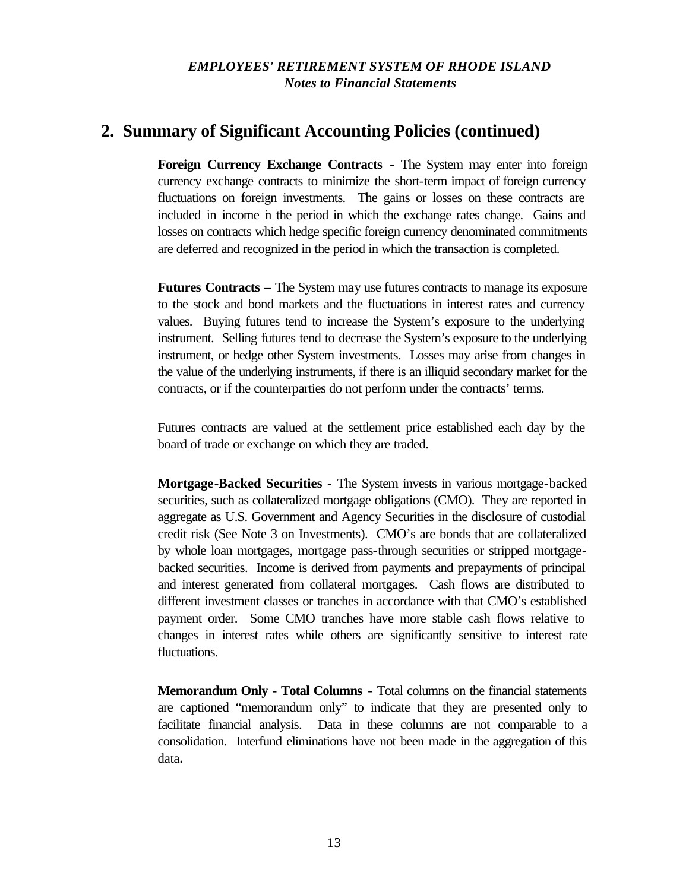# **2. Summary of Significant Accounting Policies (continued)**

**Foreign Currency Exchange Contracts** - The System may enter into foreign currency exchange contracts to minimize the short-term impact of foreign currency fluctuations on foreign investments. The gains or losses on these contracts are included in income in the period in which the exchange rates change. Gains and losses on contracts which hedge specific foreign currency denominated commitments are deferred and recognized in the period in which the transaction is completed.

**Futures Contracts –** The System may use futures contracts to manage its exposure to the stock and bond markets and the fluctuations in interest rates and currency values. Buying futures tend to increase the System's exposure to the underlying instrument. Selling futures tend to decrease the System's exposure to the underlying instrument, or hedge other System investments. Losses may arise from changes in the value of the underlying instruments, if there is an illiquid secondary market for the contracts, or if the counterparties do not perform under the contracts' terms.

Futures contracts are valued at the settlement price established each day by the board of trade or exchange on which they are traded.

**Mortgage-Backed Securities** - The System invests in various mortgage-backed securities, such as collateralized mortgage obligations (CMO). They are reported in aggregate as U.S. Government and Agency Securities in the disclosure of custodial credit risk (See Note 3 on Investments). CMO's are bonds that are collateralized by whole loan mortgages, mortgage pass-through securities or stripped mortgagebacked securities. Income is derived from payments and prepayments of principal and interest generated from collateral mortgages. Cash flows are distributed to different investment classes or tranches in accordance with that CMO's established payment order. Some CMO tranches have more stable cash flows relative to changes in interest rates while others are significantly sensitive to interest rate fluctuations.

**Memorandum Only - Total Columns** - Total columns on the financial statements are captioned "memorandum only" to indicate that they are presented only to facilitate financial analysis. Data in these columns are not comparable to a consolidation. Interfund eliminations have not been made in the aggregation of this data**.**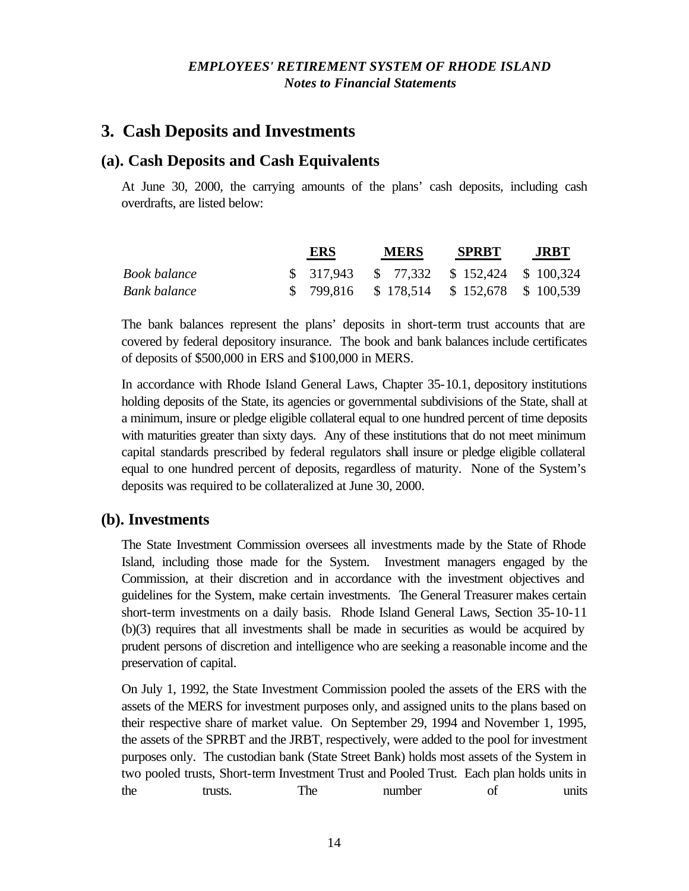# **3. Cash Deposits and Investments**

### **(a). Cash Deposits and Cash Equivalents**

At June 30, 2000, the carrying amounts of the plans' cash deposits, including cash overdrafts, are listed below:

|              | ERS                                         | <b>MERS</b> | <b>SPRBT</b> | <b>JRBT</b> |
|--------------|---------------------------------------------|-------------|--------------|-------------|
| Book balance | $$317,943$ $$77,332$ $$152,424$ $$100,324$  |             |              |             |
| Bank balance | $$799,816$ $$178,514$ $$152,678$ $$100,539$ |             |              |             |

The bank balances represent the plans' deposits in short-term trust accounts that are covered by federal depository insurance. The book and bank balances include certificates of deposits of \$500,000 in ERS and \$100,000 in MERS.

In accordance with Rhode Island General Laws, Chapter 35-10.1, depository institutions holding deposits of the State, its agencies or governmental subdivisions of the State, shall at a minimum, insure or pledge eligible collateral equal to one hundred percent of time deposits with maturities greater than sixty days. Any of these institutions that do not meet minimum capital standards prescribed by federal regulators shall insure or pledge eligible collateral equal to one hundred percent of deposits, regardless of maturity. None of the System's deposits was required to be collateralized at June 30, 2000.

### **(b). Investments**

The State Investment Commission oversees all investments made by the State of Rhode Island, including those made for the System. Investment managers engaged by the Commission, at their discretion and in accordance with the investment objectives and guidelines for the System, make certain investments. The General Treasurer makes certain short-term investments on a daily basis. Rhode Island General Laws, Section 35-10-11 (b)(3) requires that all investments shall be made in securities as would be acquired by prudent persons of discretion and intelligence who are seeking a reasonable income and the preservation of capital.

On July 1, 1992, the State Investment Commission pooled the assets of the ERS with the assets of the MERS for investment purposes only, and assigned units to the plans based on their respective share of market value. On September 29, 1994 and November 1, 1995, the assets of the SPRBT and the JRBT, respectively, were added to the pool for investment purposes only. The custodian bank (State Street Bank) holds most assets of the System in two pooled trusts, Short-term Investment Trust and Pooled Trust. Each plan holds units in the trusts. The number of units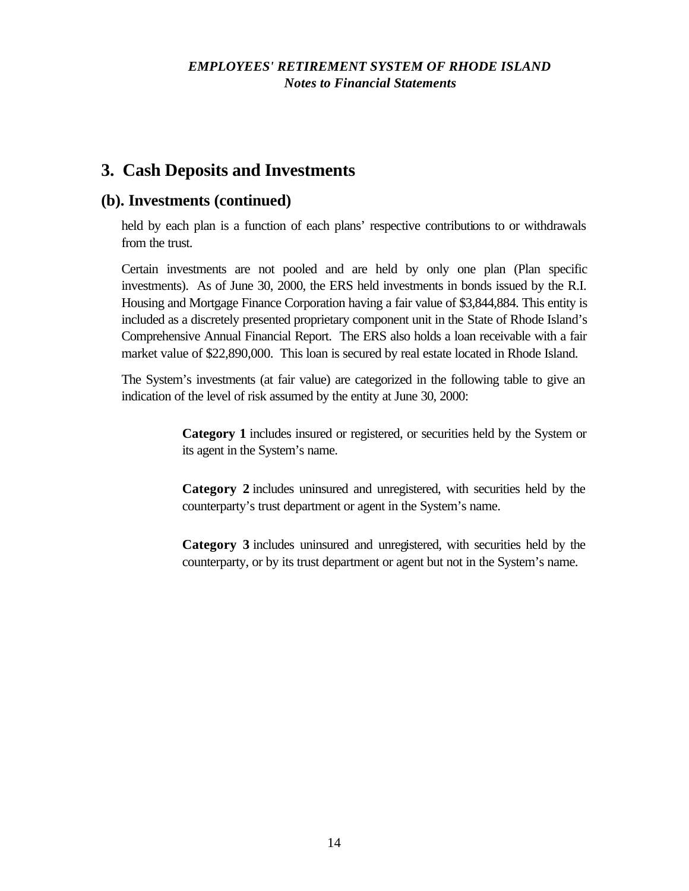# **3. Cash Deposits and Investments**

## **(b). Investments (continued)**

held by each plan is a function of each plans' respective contributions to or withdrawals from the trust.

Certain investments are not pooled and are held by only one plan (Plan specific investments). As of June 30, 2000, the ERS held investments in bonds issued by the R.I. Housing and Mortgage Finance Corporation having a fair value of \$3,844,884. This entity is included as a discretely presented proprietary component unit in the State of Rhode Island's Comprehensive Annual Financial Report. The ERS also holds a loan receivable with a fair market value of \$22,890,000. This loan is secured by real estate located in Rhode Island.

The System's investments (at fair value) are categorized in the following table to give an indication of the level of risk assumed by the entity at June 30, 2000:

> **Category 1** includes insured or registered, or securities held by the System or its agent in the System's name.

> **Category 2** includes uninsured and unregistered, with securities held by the counterparty's trust department or agent in the System's name.

> **Category 3** includes uninsured and unregistered, with securities held by the counterparty, or by its trust department or agent but not in the System's name.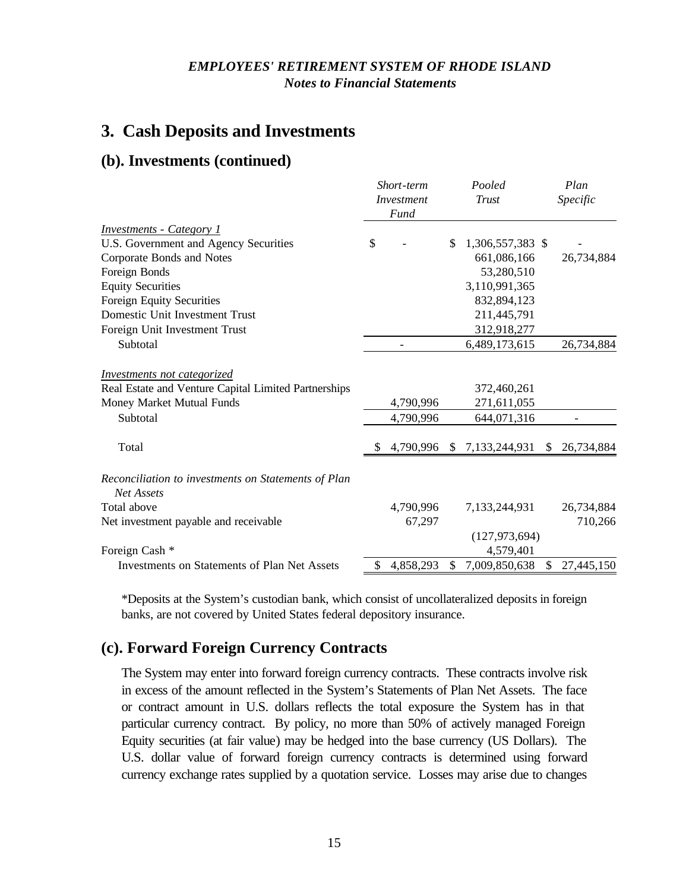# **3. Cash Deposits and Investments**

### **(b). Investments (continued)**

|                                                      |    | Short-term<br><i>Investment</i><br>Fund | Pooled<br>Trust |                  |     | Plan<br>Specific |
|------------------------------------------------------|----|-----------------------------------------|-----------------|------------------|-----|------------------|
| <b>Investments - Category 1</b>                      |    |                                         |                 |                  |     |                  |
| U.S. Government and Agency Securities                | \$ |                                         | \$              | 1,306,557,383 \$ |     |                  |
| Corporate Bonds and Notes                            |    |                                         |                 | 661,086,166      |     | 26,734,884       |
| Foreign Bonds                                        |    |                                         |                 | 53,280,510       |     |                  |
| <b>Equity Securities</b>                             |    |                                         |                 | 3,110,991,365    |     |                  |
| <b>Foreign Equity Securities</b>                     |    |                                         |                 | 832,894,123      |     |                  |
| Domestic Unit Investment Trust                       |    |                                         |                 | 211,445,791      |     |                  |
| Foreign Unit Investment Trust                        |    |                                         |                 | 312,918,277      |     |                  |
| Subtotal                                             |    | $\qquad \qquad -$                       |                 | 6,489,173,615    |     | 26,734,884       |
| <b>Investments not categorized</b>                   |    |                                         |                 |                  |     |                  |
| Real Estate and Venture Capital Limited Partnerships |    |                                         |                 | 372,460,261      |     |                  |
| Money Market Mutual Funds                            |    | 4,790,996                               |                 | 271,611,055      |     |                  |
| Subtotal                                             |    | 4,790,996                               |                 | 644,071,316      |     |                  |
| Total                                                | \$ | 4,790,996                               | S.              | 7,133,244,931    | S   | 26,734,884       |
| Reconciliation to investments on Statements of Plan  |    |                                         |                 |                  |     |                  |
| <b>Net Assets</b>                                    |    |                                         |                 |                  |     |                  |
| Total above                                          |    | 4,790,996                               |                 | 7,133,244,931    |     | 26,734,884       |
| Net investment payable and receivable                |    | 67,297                                  |                 |                  |     | 710,266          |
|                                                      |    |                                         |                 | (127, 973, 694)  |     |                  |
| Foreign Cash *                                       |    |                                         |                 | 4,579,401        |     |                  |
| <b>Investments on Statements of Plan Net Assets</b>  | \$ | 4,858,293                               | S               | 7,009,850,638    | \$. | 27,445,150       |

\*Deposits at the System's custodian bank, which consist of uncollateralized deposits in foreign banks, are not covered by United States federal depository insurance.

## **(c). Forward Foreign Currency Contracts**

The System may enter into forward foreign currency contracts. These contracts involve risk in excess of the amount reflected in the System's Statements of Plan Net Assets. The face or contract amount in U.S. dollars reflects the total exposure the System has in that particular currency contract. By policy, no more than 50% of actively managed Foreign Equity securities (at fair value) may be hedged into the base currency (US Dollars). The U.S. dollar value of forward foreign currency contracts is determined using forward currency exchange rates supplied by a quotation service. Losses may arise due to changes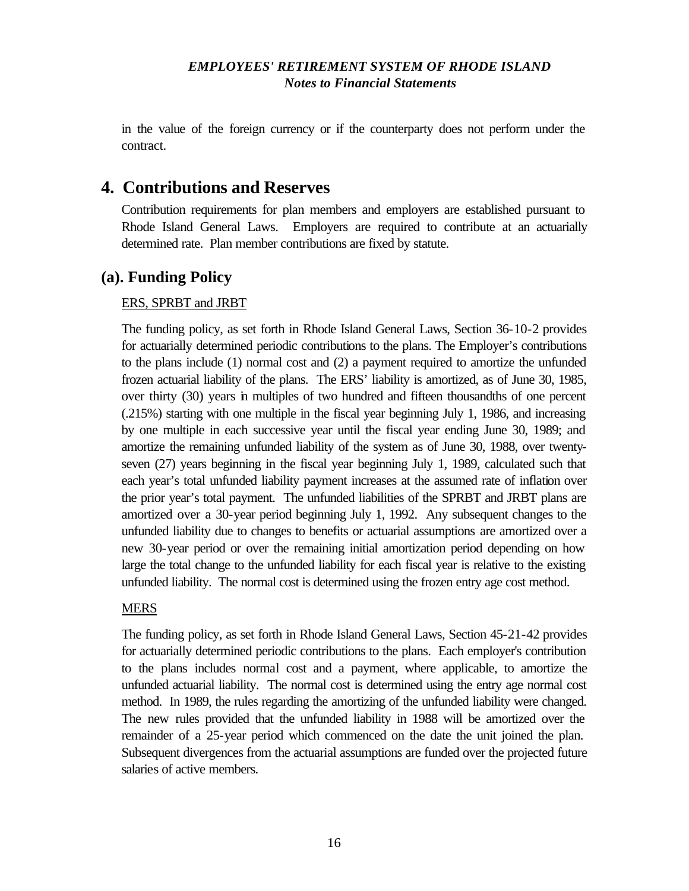in the value of the foreign currency or if the counterparty does not perform under the contract.

# **4. Contributions and Reserves**

Contribution requirements for plan members and employers are established pursuant to Rhode Island General Laws. Employers are required to contribute at an actuarially determined rate. Plan member contributions are fixed by statute.

### **(a). Funding Policy**

#### ERS, SPRBT and JRBT

The funding policy, as set forth in Rhode Island General Laws, Section 36-10-2 provides for actuarially determined periodic contributions to the plans. The Employer's contributions to the plans include (1) normal cost and (2) a payment required to amortize the unfunded frozen actuarial liability of the plans. The ERS' liability is amortized, as of June 30, 1985, over thirty (30) years in multiples of two hundred and fifteen thousandths of one percent (.215%) starting with one multiple in the fiscal year beginning July 1, 1986, and increasing by one multiple in each successive year until the fiscal year ending June 30, 1989; and amortize the remaining unfunded liability of the system as of June 30, 1988, over twentyseven (27) years beginning in the fiscal year beginning July 1, 1989, calculated such that each year's total unfunded liability payment increases at the assumed rate of inflation over the prior year's total payment. The unfunded liabilities of the SPRBT and JRBT plans are amortized over a 30-year period beginning July 1, 1992. Any subsequent changes to the unfunded liability due to changes to benefits or actuarial assumptions are amortized over a new 30-year period or over the remaining initial amortization period depending on how large the total change to the unfunded liability for each fiscal year is relative to the existing unfunded liability. The normal cost is determined using the frozen entry age cost method.

#### MERS

The funding policy, as set forth in Rhode Island General Laws, Section 45-21-42 provides for actuarially determined periodic contributions to the plans. Each employer's contribution to the plans includes normal cost and a payment, where applicable, to amortize the unfunded actuarial liability. The normal cost is determined using the entry age normal cost method. In 1989, the rules regarding the amortizing of the unfunded liability were changed. The new rules provided that the unfunded liability in 1988 will be amortized over the remainder of a 25-year period which commenced on the date the unit joined the plan. Subsequent divergences from the actuarial assumptions are funded over the projected future salaries of active members.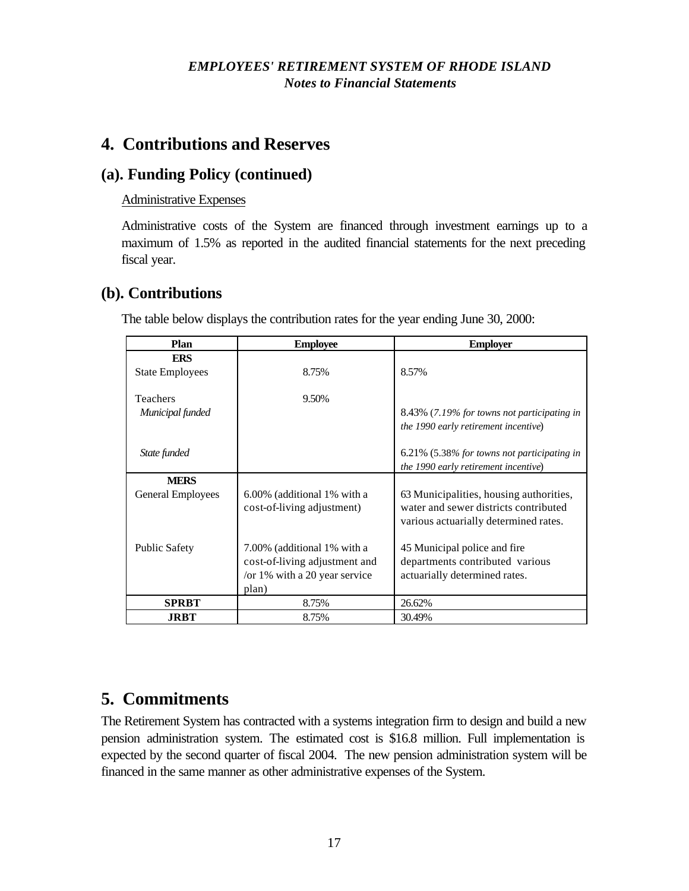# **4. Contributions and Reserves**

## **(a). Funding Policy (continued)**

#### Administrative Expenses

Administrative costs of the System are financed through investment earnings up to a maximum of 1.5% as reported in the audited financial statements for the next preceding fiscal year.

### **(b). Contributions**

**MERS**

General Employees 6.00% (additional 1% with a

Public Safety 7.00% (additional 1% with a

plan)

cost-of-living adjustment)

cost-of-living adjustment and /or 1% with a 20 year service

**SPRBT** 8.75% 26.62% **JRBT**  $8.75\%$   $30.49\%$ 

| Plan                   | <b>Employee</b> | <b>Employer</b>                             |
|------------------------|-----------------|---------------------------------------------|
| <b>ERS</b>             |                 |                                             |
| <b>State Employees</b> | 8.75%           | 8.57%                                       |
| <b>Teachers</b>        | 9.50%           |                                             |
| Municipal funded       |                 | 8.43% (7.19% for towns not participating in |
|                        |                 | the 1990 early retirement incentive)        |
| State funded           |                 | 6.21% (5.38% for towns not participating in |
|                        |                 | the 1990 early retirement incentive)        |

63 Municipalities, housing authorities, water and sewer districts contributed various actuarially determined rates.

45 Municipal police and fire departments contributed various actuarially determined rates.

The table below displays the contribution rates for the year ending June 30, 2000:

# **5. Commitments**

The Retirement System has contracted with a systems integration firm to design and build a new pension administration system. The estimated cost is \$16.8 million. Full implementation is expected by the second quarter of fiscal 2004. The new pension administration system will be financed in the same manner as other administrative expenses of the System.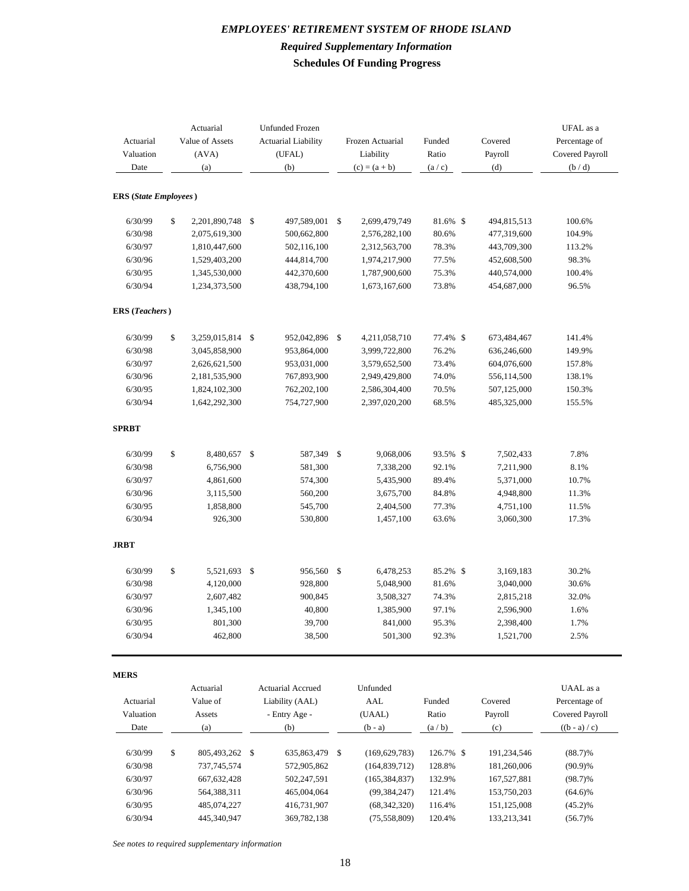#### *EMPLOYEES' RETIREMENT SYSTEM OF RHODE ISLAND Required Supplementary Information* **Schedules Of Funding Progress**

| Actuarial<br>Valuation<br>Date | Actuarial<br>Value of Assets<br>(AVA)<br>(a) | <b>Unfunded Frozen</b><br><b>Actuarial Liability</b><br>(UFAL)<br>(b) |                   | Frozen Actuarial<br>Liability<br>$(c) = (a + b)$ |                 | Funded<br>Ratio<br>(a/c) | Covered<br>Payroll<br>(d) | UFAL as a<br>Percentage of<br>Covered Payroll<br>(b/d) |
|--------------------------------|----------------------------------------------|-----------------------------------------------------------------------|-------------------|--------------------------------------------------|-----------------|--------------------------|---------------------------|--------------------------------------------------------|
| <b>ERS</b> (State Employees)   |                                              |                                                                       |                   |                                                  |                 |                          |                           |                                                        |
| 6/30/99                        | \$<br>2,201,890,748                          | $\mathcal{S}$                                                         | 497,589,001       | -\$                                              | 2,699,479,749   | 81.6% \$                 | 494,815,513               | 100.6%                                                 |
| 6/30/98                        | 2,075,619,300                                |                                                                       | 500,662,800       |                                                  | 2,576,282,100   | 80.6%                    | 477,319,600               | 104.9%                                                 |
| 6/30/97                        | 1,810,447,600                                |                                                                       | 502,116,100       |                                                  | 2,312,563,700   | 78.3%                    | 443,709,300               | 113.2%                                                 |
| 6/30/96                        | 1,529,403,200                                |                                                                       | 444,814,700       |                                                  | 1,974,217,900   | 77.5%                    | 452,608,500               | 98.3%                                                  |
| 6/30/95                        | 1,345,530,000                                |                                                                       | 442,370,600       |                                                  | 1,787,900,600   | 75.3%                    | 440,574,000               | 100.4%                                                 |
| 6/30/94                        | 1,234,373,500                                |                                                                       | 438,794,100       |                                                  | 1,673,167,600   | 73.8%                    | 454,687,000               | 96.5%                                                  |
| <b>ERS</b> (Teachers)          |                                              |                                                                       |                   |                                                  |                 |                          |                           |                                                        |
| 6/30/99                        | \$<br>3,259,015,814                          | $\mathcal{S}$                                                         | 952,042,896 \$    |                                                  | 4,211,058,710   | 77.4% \$                 | 673,484,467               | 141.4%                                                 |
| 6/30/98                        | 3,045,858,900                                |                                                                       | 953,864,000       |                                                  | 3,999,722,800   | 76.2%                    | 636,246,600               | 149.9%                                                 |
| 6/30/97                        | 2,626,621,500                                |                                                                       | 953,031,000       |                                                  | 3,579,652,500   | 73.4%                    | 604,076,600               | 157.8%                                                 |
| 6/30/96                        | 2,181,535,900                                |                                                                       | 767,893,900       |                                                  | 2,949,429,800   | 74.0%                    | 556,114,500               | 138.1%                                                 |
| 6/30/95                        | 1,824,102,300                                |                                                                       | 762,202,100       |                                                  | 2,586,304,400   | 70.5%                    | 507,125,000               | 150.3%                                                 |
| 6/30/94                        | 1,642,292,300                                |                                                                       | 754,727,900       |                                                  | 2,397,020,200   | 68.5%                    | 485,325,000               | 155.5%                                                 |
| <b>SPRBT</b>                   |                                              |                                                                       |                   |                                                  |                 |                          |                           |                                                        |
| 6/30/99                        | \$<br>8,480,657                              | $\mathcal{S}$                                                         | 587,349           | -\$                                              | 9,068,006       | 93.5% \$                 | 7,502,433                 | 7.8%                                                   |
| 6/30/98                        | 6,756,900                                    |                                                                       | 581,300           |                                                  | 7,338,200       | 92.1%                    | 7,211,900                 | 8.1%                                                   |
| 6/30/97                        | 4,861,600                                    |                                                                       | 574,300           |                                                  | 5,435,900       | 89.4%                    | 5,371,000                 | 10.7%                                                  |
| 6/30/96                        | 3,115,500                                    |                                                                       | 560,200           |                                                  | 3,675,700       | 84.8%                    | 4,948,800                 | 11.3%                                                  |
| 6/30/95                        | 1,858,800                                    |                                                                       | 545,700           |                                                  | 2,404,500       | 77.3%                    | 4,751,100                 | 11.5%                                                  |
| 6/30/94                        | 926,300                                      |                                                                       | 530,800           |                                                  | 1,457,100       | 63.6%                    | 3,060,300                 | 17.3%                                                  |
| <b>JRBT</b>                    |                                              |                                                                       |                   |                                                  |                 |                          |                           |                                                        |
| 6/30/99                        | \$<br>5,521,693                              | -\$                                                                   | 956,560           | - \$                                             | 6,478,253       | 85.2% \$                 | 3,169,183                 | 30.2%                                                  |
| 6/30/98                        | 4,120,000                                    |                                                                       | 928,800           |                                                  | 5,048,900       | 81.6%                    | 3,040,000                 | 30.6%                                                  |
| 6/30/97                        | 2,607,482                                    |                                                                       | 900,845           |                                                  | 3,508,327       | 74.3%                    | 2,815,218                 | 32.0%                                                  |
| 6/30/96                        | 1,345,100                                    |                                                                       | 40,800            |                                                  | 1,385,900       | 97.1%                    | 2,596,900                 | 1.6%                                                   |
| 6/30/95                        | 801,300                                      |                                                                       | 39,700            |                                                  | 841,000         | 95.3%                    | 2,398,400                 | 1.7%                                                   |
| 6/30/94                        | 462,800                                      |                                                                       | 38,500            |                                                  | 501,300         | 92.3%                    | 1,521,700                 | 2.5%                                                   |
| <b>MERS</b>                    |                                              |                                                                       |                   |                                                  |                 |                          |                           |                                                        |
|                                | Actuarial                                    |                                                                       | Actuarial Accrued |                                                  | Unfunded        |                          |                           | UAAL as a                                              |
| Actuarial                      | Value of                                     |                                                                       | Liability (AAL)   |                                                  | AAL             | Funded                   | Covered                   | Percentage of                                          |
| Valuation                      | Assets                                       |                                                                       | - Entry Age -     |                                                  | (UAAL)          | Ratio                    | Payroll                   | Covered Payroll                                        |
| Date                           | (a)                                          |                                                                       | (b)               |                                                  | $(b - a)$       | (a/b)                    | (c)                       | $((b - a) / c)$                                        |
| 6/30/99                        | \$<br>805,493,262                            | \$                                                                    | 635,863,479       | - \$                                             | (169, 629, 783) | 126.7% \$                | 191,234,546               | $(88.7)\%$                                             |
| 6/30/98                        | 737,745,574                                  |                                                                       | 572,905,862       |                                                  | (164, 839, 712) | 128.8%                   | 181,260,006               | $(90.9)\%$                                             |
| 6/30/97                        | 667, 632, 428                                |                                                                       | 502,247,591       |                                                  | (165, 384, 837) | 132.9%                   | 167,527,881               | $(98.7)\%$                                             |
| 6/30/96                        | 564,388,311                                  |                                                                       | 465,004,064       |                                                  | (99, 384, 247)  | 121.4%                   | 153,750,203               | $(64.6)\%$                                             |
| 6/30/95                        | 485,074,227                                  |                                                                       | 416,731,907       |                                                  | (68, 342, 320)  | 116.4%                   | 151,125,008               | $(45.2)\%$                                             |
| 6/30/94                        | 445,340,947                                  |                                                                       | 369,782,138       |                                                  | (75, 558, 809)  | 120.4%                   | 133,213,341               | $(56.7)\%$                                             |

*See notes to required supplementary information*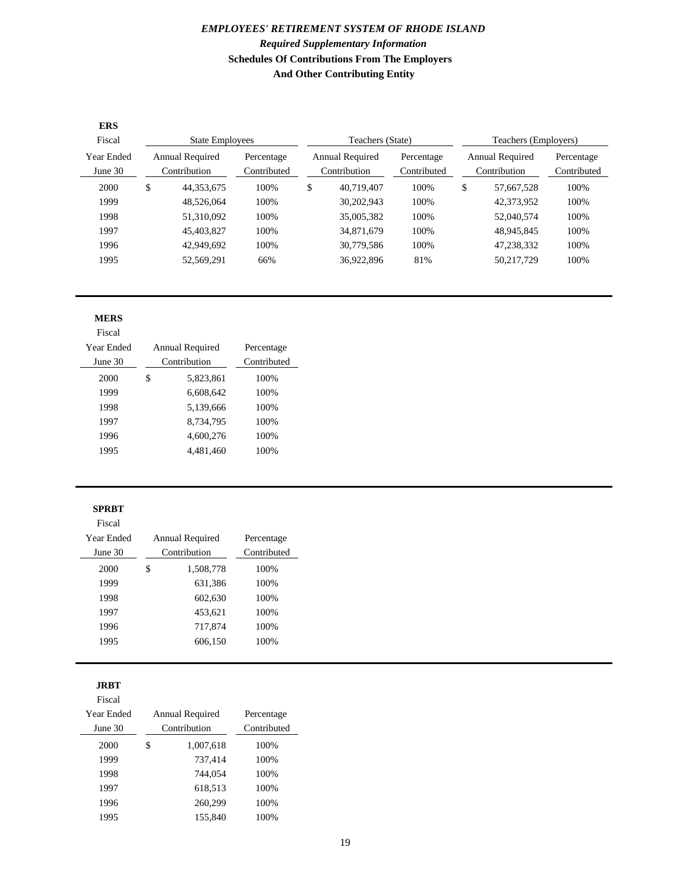#### *EMPLOYEES' RETIREMENT SYSTEM OF RHODE ISLAND Required Supplementary Information* **Schedules Of Contributions From The Employers And Other Contributing Entity**

| <b>ERS</b><br>Fiscal  | <b>State Employees</b>                 |            |                           | Teachers (State)                       |            |                           | Teachers (Employers)                   |            |                           |
|-----------------------|----------------------------------------|------------|---------------------------|----------------------------------------|------------|---------------------------|----------------------------------------|------------|---------------------------|
| Year Ended<br>June 30 | <b>Annual Required</b><br>Contribution |            | Percentage<br>Contributed | <b>Annual Required</b><br>Contribution |            | Percentage<br>Contributed | <b>Annual Required</b><br>Contribution |            | Percentage<br>Contributed |
| 2000                  | \$                                     | 44.353.675 | 100%                      | \$                                     | 40.719.407 | 100%                      | \$                                     | 57.667.528 | 100%                      |
| 1999                  |                                        | 48.526.064 | 100%                      |                                        | 30,202,943 | 100%                      |                                        | 42,373,952 | 100%                      |
| 1998                  |                                        | 51,310,092 | 100%                      |                                        | 35,005,382 | 100%                      |                                        | 52,040,574 | 100%                      |
| 1997                  |                                        | 45,403,827 | 100%                      |                                        | 34,871,679 | 100%                      |                                        | 48,945,845 | 100%                      |
| 1996                  |                                        | 42,949,692 | 100%                      |                                        | 30,779,586 | 100%                      |                                        | 47,238,332 | 100%                      |
| 1995                  |                                        | 52,569,291 | 66%                       |                                        | 36,922,896 | 81%                       |                                        | 50,217,729 | 100%                      |

#### **MERS**

Fiscal

| Year Ended<br>June $30$ |   | Annual Required<br>Contribution | Percentage<br>Contributed |
|-------------------------|---|---------------------------------|---------------------------|
| 2000                    | S | 5,823,861                       | 100%                      |
| 1999                    |   | 6.608.642                       | 100%                      |
| 1998                    |   | 5,139,666                       | 100%                      |
| 1997                    |   | 8,734,795                       | 100%                      |
| 1996                    |   | 4,600,276                       | 100%                      |
| 1995                    |   | 4.481.460                       | 100%                      |
|                         |   |                                 |                           |

#### **SPRBT**

Fiscal

| Year Ended | Annual Required | Percentage  |
|------------|-----------------|-------------|
| June $30$  | Contribution    | Contributed |
| 2000       | \$<br>1,508,778 | 100%        |
| 1999       | 631,386         | 100%        |
| 1998       | 602,630         | 100%        |
| 1997       | 453,621         | 100%        |
| 1996       | 717,874         | 100%        |
| 1995       | 606,150         | 100%        |
|            |                 |             |

#### **JRBT**

| Fiscal     |                 |             |
|------------|-----------------|-------------|
| Year Ended | Annual Required | Percentage  |
| June $30$  | Contribution    | Contributed |
| 2000       | \$<br>1,007,618 | 100%        |
| 1999       | 737,414         | 100%        |
| 1998       | 744,054         | 100%        |
| 1997       | 618,513         | 100%        |
| 1996       | 260,299         | 100%        |
| 1995       | 155,840         | 100%        |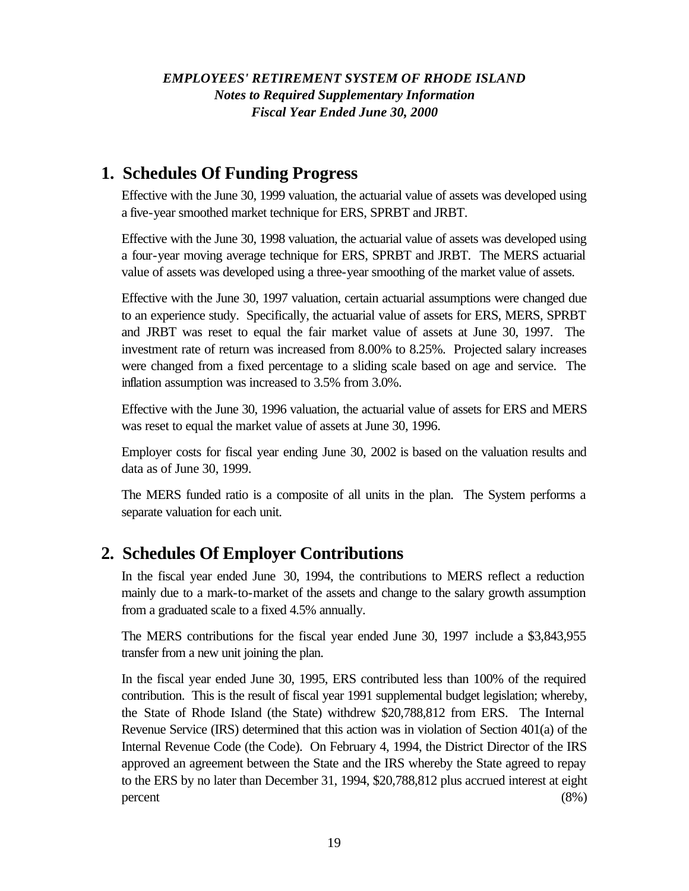### *EMPLOYEES' RETIREMENT SYSTEM OF RHODE ISLAND Notes to Required Supplementary Information Fiscal Year Ended June 30, 2000*

# **1. Schedules Of Funding Progress**

Effective with the June 30, 1999 valuation, the actuarial value of assets was developed using a five-year smoothed market technique for ERS, SPRBT and JRBT.

Effective with the June 30, 1998 valuation, the actuarial value of assets was developed using a four-year moving average technique for ERS, SPRBT and JRBT. The MERS actuarial value of assets was developed using a three-year smoothing of the market value of assets.

Effective with the June 30, 1997 valuation, certain actuarial assumptions were changed due to an experience study. Specifically, the actuarial value of assets for ERS, MERS, SPRBT and JRBT was reset to equal the fair market value of assets at June 30, 1997. The investment rate of return was increased from 8.00% to 8.25%. Projected salary increases were changed from a fixed percentage to a sliding scale based on age and service. The inflation assumption was increased to 3.5% from 3.0%.

Effective with the June 30, 1996 valuation, the actuarial value of assets for ERS and MERS was reset to equal the market value of assets at June 30, 1996.

Employer costs for fiscal year ending June 30, 2002 is based on the valuation results and data as of June 30, 1999.

The MERS funded ratio is a composite of all units in the plan. The System performs a separate valuation for each unit.

# **2. Schedules Of Employer Contributions**

In the fiscal year ended June 30, 1994, the contributions to MERS reflect a reduction mainly due to a mark-to-market of the assets and change to the salary growth assumption from a graduated scale to a fixed 4.5% annually.

The MERS contributions for the fiscal year ended June 30, 1997 include a \$3,843,955 transfer from a new unit joining the plan.

In the fiscal year ended June 30, 1995, ERS contributed less than 100% of the required contribution. This is the result of fiscal year 1991 supplemental budget legislation; whereby, the State of Rhode Island (the State) withdrew \$20,788,812 from ERS. The Internal Revenue Service (IRS) determined that this action was in violation of Section 401(a) of the Internal Revenue Code (the Code). On February 4, 1994, the District Director of the IRS approved an agreement between the State and the IRS whereby the State agreed to repay to the ERS by no later than December 31, 1994, \$20,788,812 plus accrued interest at eight percent (8%)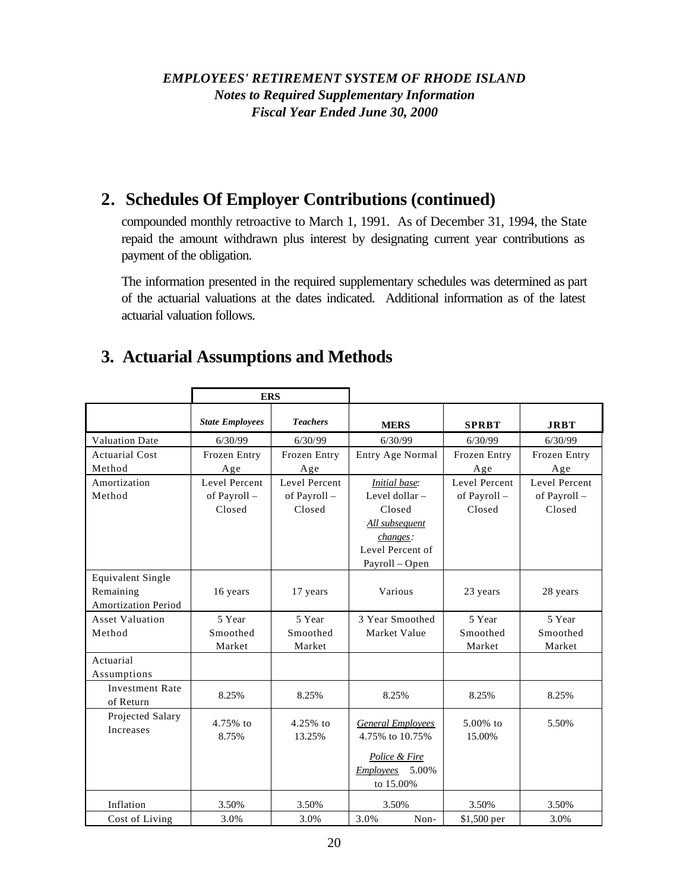### *EMPLOYEES' RETIREMENT SYSTEM OF RHODE ISLAND Notes to Required Supplementary Information Fiscal Year Ended June 30, 2000*

# **2. Schedules Of Employer Contributions (continued)**

compounded monthly retroactive to March 1, 1991. As of December 31, 1994, the State repaid the amount withdrawn plus interest by designating current year contributions as payment of the obligation.

The information presented in the required supplementary schedules was determined as part of the actuarial valuations at the dates indicated. Additional information as of the latest actuarial valuation follows.

# **3. Actuarial Assumptions and Methods**

|                                     | <b>ERS</b>             |                 |                           |               |               |
|-------------------------------------|------------------------|-----------------|---------------------------|---------------|---------------|
|                                     | <b>State Employees</b> | <b>Teachers</b> | <b>MERS</b>               | <b>SPRBT</b>  | <b>JRBT</b>   |
| <b>Valuation Date</b>               | 6/30/99                | 6/30/99         | 6/30/99                   | 6/30/99       | 6/30/99       |
| <b>Actuarial Cost</b>               | Frozen Entry           | Frozen Entry    | Entry Age Normal          | Frozen Entry  | Frozen Entry  |
| Method                              | Age                    | Age             |                           | Age           | Age           |
| Amortization                        | Level Percent          | Level Percent   | <b>Initial</b> base:      | Level Percent | Level Percent |
| Method                              | of Payroll -           | of Payroll -    | Level dollar -            | of Payroll -  | of Payroll -  |
|                                     | Closed                 | Closed          | Closed                    | Closed        | Closed        |
|                                     |                        |                 | All subsequent            |               |               |
|                                     |                        |                 | changes:                  |               |               |
|                                     |                        |                 | Level Percent of          |               |               |
|                                     |                        |                 | Payroll - Open            |               |               |
| <b>Equivalent Single</b>            |                        |                 |                           |               |               |
| Remaining                           | 16 years               | 17 years        | Various                   | 23 years      | 28 years      |
| <b>Amortization Period</b>          |                        |                 |                           |               |               |
| <b>Asset Valuation</b>              | 5 Year                 | 5 Year          | 3 Year Smoothed           | 5 Year        | 5 Year        |
| Method                              | Smoothed               | Smoothed        | Market Value              | Smoothed      | Smoothed      |
|                                     | Market                 | Market          |                           | Market        | Market        |
| Actuarial                           |                        |                 |                           |               |               |
| Assumptions                         |                        |                 |                           |               |               |
| <b>Investment Rate</b><br>of Return | 8.25%                  | 8.25%           | 8.25%                     | 8.25%         | 8.25%         |
| Projected Salary                    | 4.75% to               | $4.25%$ to      | <b>General Employees</b>  | $5.00\%$ to   | 5.50%         |
| Increases                           | 8.75%                  | 13.25%          | 4.75% to 10.75%           | 15.00%        |               |
|                                     |                        |                 |                           |               |               |
|                                     |                        |                 | Police & Fire             |               |               |
|                                     |                        |                 | 5.00%<br><b>Employees</b> |               |               |
|                                     |                        |                 | to 15.00%                 |               |               |
| Inflation                           | 3.50%                  | 3.50%           | 3.50%                     | 3.50%         | 3.50%         |
| Cost of Living                      | 3.0%                   | 3.0%            | 3.0%<br>Non-              | \$1,500 per   | 3.0%          |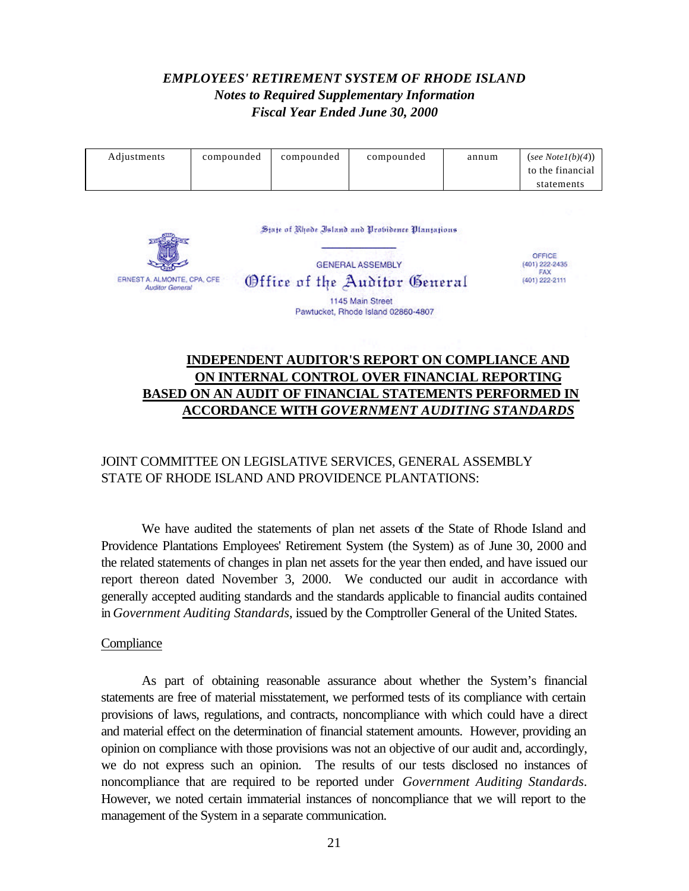### *EMPLOYEES' RETIREMENT SYSTEM OF RHODE ISLAND Notes to Required Supplementary Information Fiscal Year Ended June 30, 2000*

| Adjustments | compounded | compounded | compounded | annum | (see Note $l(b)(4)$ )<br>to the financial |
|-------------|------------|------------|------------|-------|-------------------------------------------|
|             |            |            |            |       | statements                                |

State of Rhode Island and Probidence Plantations



OFFICE (401) 222-2435 FAX  $(401)$  222-2111

### **INDEPENDENT AUDITOR'S REPORT ON COMPLIANCE AND ON INTERNAL CONTROL OVER FINANCIAL REPORTING BASED ON AN AUDIT OF FINANCIAL STATEMENTS PERFORMED IN ACCORDANCE WITH** *GOVERNMENT AUDITING STANDARDS*

### JOINT COMMITTEE ON LEGISLATIVE SERVICES, GENERAL ASSEMBLY STATE OF RHODE ISLAND AND PROVIDENCE PLANTATIONS:

We have audited the statements of plan net assets of the State of Rhode Island and Providence Plantations Employees' Retirement System (the System) as of June 30, 2000 and the related statements of changes in plan net assets for the year then ended, and have issued our report thereon dated November 3, 2000. We conducted our audit in accordance with generally accepted auditing standards and the standards applicable to financial audits contained in *Government Auditing Standards*, issued by the Comptroller General of the United States.

#### **Compliance**

As part of obtaining reasonable assurance about whether the System's financial statements are free of material misstatement, we performed tests of its compliance with certain provisions of laws, regulations, and contracts, noncompliance with which could have a direct and material effect on the determination of financial statement amounts. However, providing an opinion on compliance with those provisions was not an objective of our audit and, accordingly, we do not express such an opinion. The results of our tests disclosed no instances of noncompliance that are required to be reported under *Government Auditing Standards*. However, we noted certain immaterial instances of noncompliance that we will report to the management of the System in a separate communication.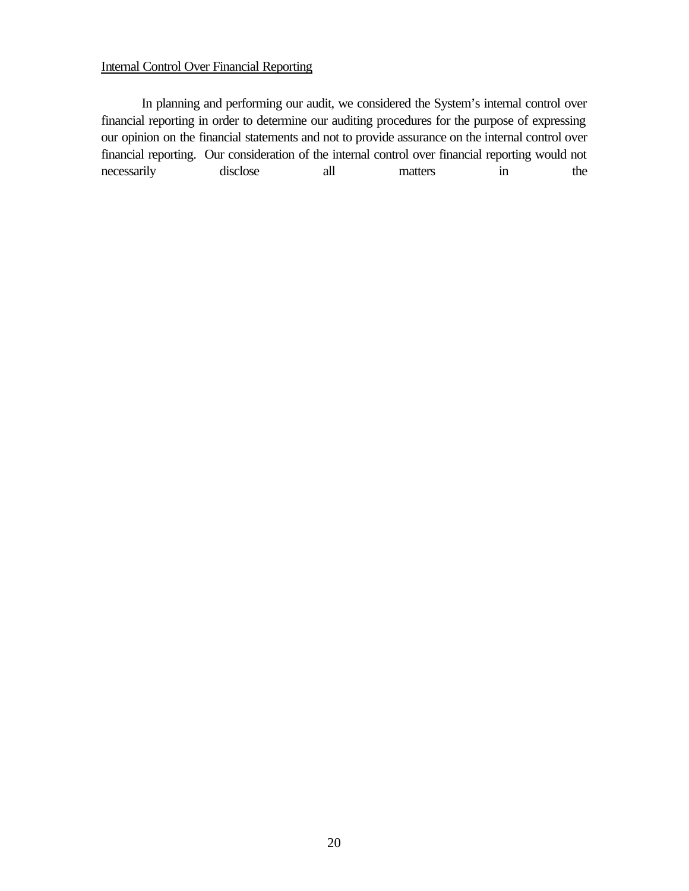#### Internal Control Over Financial Reporting

In planning and performing our audit, we considered the System's internal control over financial reporting in order to determine our auditing procedures for the purpose of expressing our opinion on the financial statements and not to provide assurance on the internal control over financial reporting. Our consideration of the internal control over financial reporting would not necessarily disclose all matters in the